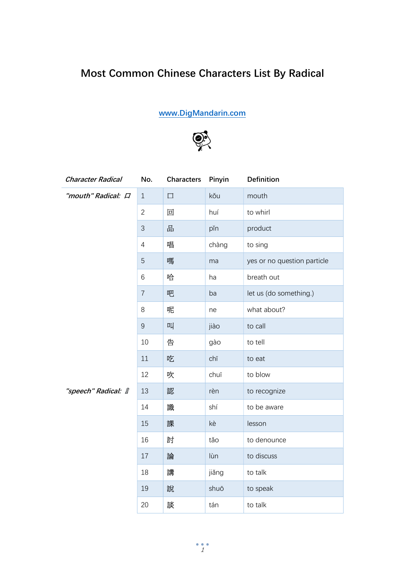## Most Common Chinese Characters List By Radical

www.DigMandarin.com



| <b>Character Radical</b> | No.            | <b>Characters</b> | Pinyin | <b>Definition</b>           |
|--------------------------|----------------|-------------------|--------|-----------------------------|
| "mouth" Radical: $\Box$  | $\mathbf{1}$   | $\Box$            | kǒu    | mouth                       |
|                          | $\overline{2}$ | 回                 | huí    | to whirl                    |
|                          | 3              | 굠                 | pĭn    | product                     |
|                          | $\overline{4}$ | 唱                 | chàng  | to sing                     |
|                          | 5              | 嗎                 | ma     | yes or no question particle |
|                          | 6              | 哈                 | ha     | breath out                  |
|                          | $\overline{7}$ | 吧                 | ba     | let us (do something.)      |
|                          | 8              | 呢                 | ne     | what about?                 |
|                          | $\overline{9}$ | щ                 | jiào   | to call                     |
|                          | 10             | 告                 | gào    | to tell                     |
|                          | 11             | 吃                 | chī    | to eat                      |
|                          | 12             | 吹                 | chuī   | to blow                     |
| "speech" Radical: 言      | 13             | 認                 | rèn    | to recognize                |
|                          | 14             | 識                 | shí    | to be aware                 |
|                          | 15             | 課                 | kè     | lesson                      |
|                          | 16             | 討                 | tǎo    | to denounce                 |
|                          | 17             | 論                 | lùn    | to discuss                  |
|                          | 18             | 講                 | jiǎng  | to talk                     |
|                          | 19             | 說                 | shuō   | to speak                    |
|                          | 20             | 談                 | tán    | to talk                     |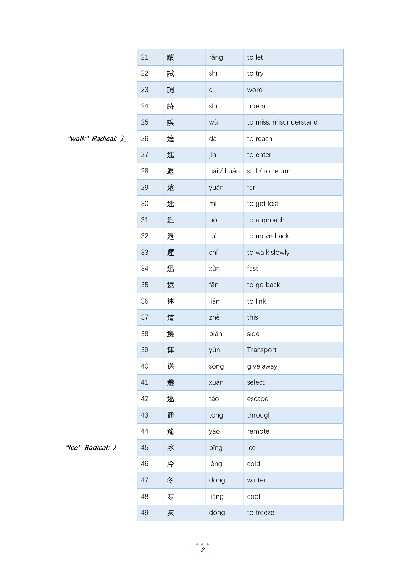|                   | 21 | 讓 | ràng       | to let                 |
|-------------------|----|---|------------|------------------------|
|                   | 22 | 試 | shì        | to try                 |
|                   | 23 | 詞 | СÍ         | word                   |
|                   | 24 | 詩 | shī        | poem                   |
|                   | 25 | 誤 | wù         | to miss; misunderstand |
| "walk" Radical: L | 26 | 達 | dá         | to reach               |
|                   | 27 | 進 | jìn        | to enter               |
|                   | 28 | 還 | hái / huán | still / to return      |
|                   | 29 | 遠 | yuǎn       | far                    |
|                   | 30 | 迷 | mí         | to get lost            |
|                   | 31 | 迫 | pò         | to approach            |
|                   | 32 | 退 | tuì        | to move back           |
|                   | 33 | 遲 | chí        | to walk slowly         |
|                   | 34 | 迅 | xùn        | fast                   |
|                   | 35 | 返 | fǎn        | to go back             |
|                   | 36 | 連 | lián       | to link                |
|                   | 37 | 這 | zhè        | this                   |
|                   | 38 | 邊 | biān       | side                   |
|                   | 39 | 運 | yùn        | Transport              |
|                   | 40 | 送 | sòng       | give away              |
|                   | 41 | 選 | xuǎn       | select                 |
|                   | 42 | 逃 | táo        | escape                 |
|                   | 43 | 通 | tōng       | through                |
|                   | 44 | 遙 | yáo        | remote                 |
| "Ice" Radical: >  | 45 | 冰 | bīng       | ice                    |
|                   | 46 | 冷 | lěng       | cold                   |
|                   | 47 | 冬 | dōng       | winter                 |
|                   | 48 | 凉 | liáng      | cool                   |
|                   | 49 | 凍 | dòng       | to freeze              |

<sup>&</sup>quot;walk" Radical: 辶

<sup>&</sup>quot;Ice" Radical: >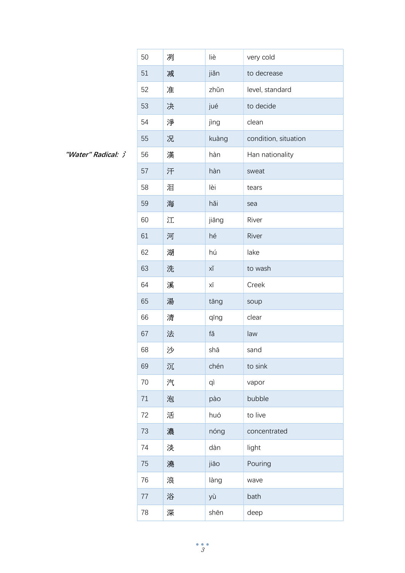|                    | 50 | 冽 | liè   | very cold            |
|--------------------|----|---|-------|----------------------|
|                    | 51 | 减 | jiǎn  | to decrease          |
|                    | 52 | 准 | zhǔn  | level, standard      |
|                    | 53 | 决 | jué   | to decide            |
|                    | 54 | 淨 | jìng  | clean                |
|                    | 55 | 况 | kuàng | condition, situation |
| "Water" Radical: > | 56 | 漢 | hàn   | Han nationality      |
|                    | 57 | 汗 | hàn   | sweat                |
|                    | 58 | 泪 | lèi   | tears                |
|                    | 59 | 海 | hǎi   | sea                  |
|                    | 60 | 江 | jiāng | River                |
|                    | 61 | 河 | hé    | River                |
|                    | 62 | 湖 | hú    | lake                 |
|                    | 63 | 洗 | ХĬ    | to wash              |
|                    | 64 | 溪 | ΧĪ    | Creek                |
|                    | 65 | 湯 | tāng  | soup                 |
|                    | 66 | 清 | qīng  | clear                |
|                    | 67 | 法 | fǎ    | law                  |
|                    | 68 | 沙 | shā   | sand                 |
|                    | 69 | 沉 | chén  | to sink              |
|                    | 70 | 汽 | qì    | vapor                |
|                    | 71 | 泡 | pào   | bubble               |
|                    | 72 | 活 | huó   | to live              |
|                    | 73 | 濃 | nóng  | concentrated         |
|                    | 74 | 淡 | dàn   | light                |
|                    | 75 | 澆 | jiāo  | Pouring              |
|                    | 76 | 浪 | làng  | wave                 |
|                    | 77 | 浴 | yù    | bath                 |
|                    | 78 | 深 | shēn  | deep                 |

"Water" Radical: 氵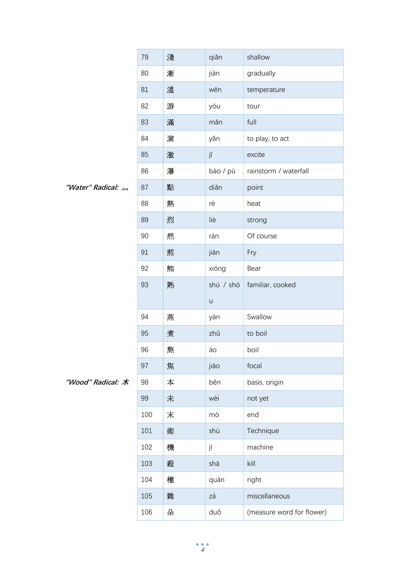|                       | 79  | 淺 | qiǎn      | shallow                   |
|-----------------------|-----|---|-----------|---------------------------|
|                       | 80  | 漸 | jiàn      | gradually                 |
|                       | 81  | 溫 | wēn       | temperature               |
|                       | 82  | 游 | yóu       | tour                      |
|                       | 83  | 滿 | mǎn       | full                      |
|                       | 84  | 演 | yǎn       | to play, to act           |
|                       | 85  | 激 | jī        | excite                    |
|                       | 86  | 瀑 | bào / pù  | rainstorm / waterfall     |
| "Water" Radical: 2011 | 87  | 點 | diǎn      | point                     |
|                       | 88  | 熱 | rè        | heat                      |
|                       | 89  | 烈 | liè       | strong                    |
|                       | 90  | 然 | rán       | Of course                 |
|                       | 91  | 煎 | jiān      | Fry                       |
|                       | 92  | 熊 | xióng     | Bear                      |
|                       | 93  | 熟 | shú / shó | familiar, cooked          |
|                       |     |   | $\sf U$   |                           |
|                       | 94  | 燕 | yàn       | Swallow                   |
|                       | 95  | 煮 | zhǔ       | to boil                   |
|                       | 96  | 熬 | áo        | boil                      |
|                       | 97  | 焦 | jiāo      | focal                     |
| "Wood" Radical: 木     | 98  | 本 | běn       | basis, origin             |
|                       | 99  | 未 | wèi       | not yet                   |
|                       | 100 | 末 | mò        | end                       |
|                       | 101 | 術 | shù       | Technique                 |
|                       | 102 | 機 | jī        | machine                   |
|                       | 103 | 殺 | shā       | kill                      |
|                       | 104 | 權 | quán      | right                     |
|                       | 105 | 雜 | zá        | miscellaneous             |
|                       | 106 | 朵 | duǒ       | (measure word for flower) |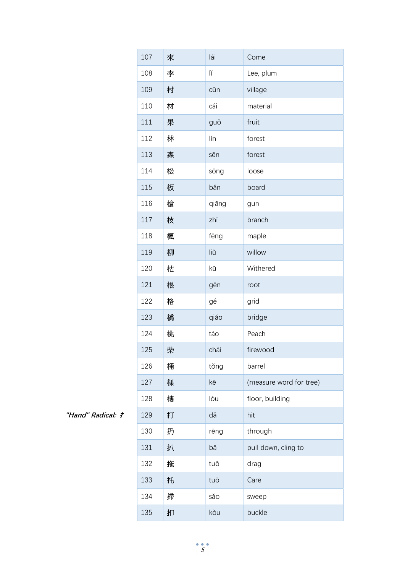|                   | 107 | 來 | lái   | Come                    |
|-------------------|-----|---|-------|-------------------------|
|                   | 108 | 李 | lĭ    | Lee, plum               |
|                   | 109 | 村 | cūn   | village                 |
|                   | 110 | 材 | cái   | material                |
|                   | 111 | 果 | guǒ   | fruit                   |
|                   | 112 | 林 | lín   | forest                  |
|                   | 113 | 森 | sēn   | forest                  |
|                   | 114 | 松 | sōng  | loose                   |
|                   | 115 | 板 | băn   | board                   |
|                   | 116 | 槍 | qiāng | gun                     |
|                   | 117 | 枝 | zhī   | branch                  |
|                   | 118 | 楓 | fēng  | maple                   |
|                   | 119 | 柳 | liŭ   | willow                  |
|                   | 120 | 枯 | kū    | Withered                |
|                   | 121 | 根 | gēn   | root                    |
|                   | 122 | 格 | gé    | grid                    |
|                   | 123 | 橋 | qiáo  | bridge                  |
|                   | 124 | 桃 | táo   | Peach                   |
|                   | 125 | 柴 | chái  | firewood                |
|                   | 126 | 桶 | tǒng  | barrel                  |
|                   | 127 | 棵 | kē    | (measure word for tree) |
|                   | 128 | 樓 | lóu   | floor, building         |
| "Hand" Radical: # | 129 | 打 | dǎ    | hit                     |
|                   | 130 | 扔 | rēng  | through                 |
|                   | 131 | 扒 | bā    | pull down, cling to     |
|                   | 132 | 拖 | tuō   | drag                    |
|                   | 133 | 托 | tuō   | Care                    |
|                   | 134 | 掃 | sǎo   | sweep                   |
|                   | 135 | 扣 | kòu   | buckle                  |

"Hand" Radical: 扌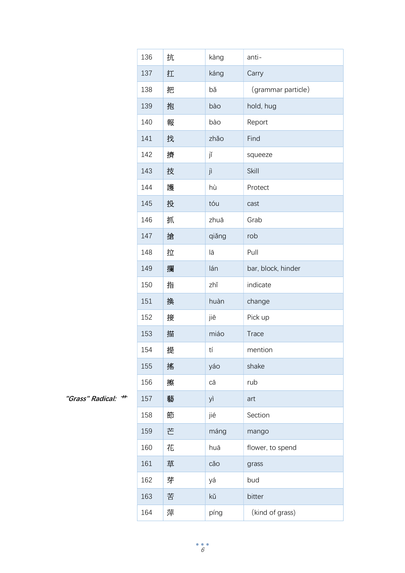|                       | 136 | 抗 | kàng  | anti-              |
|-----------------------|-----|---|-------|--------------------|
|                       | 137 | 扛 | káng  | Carry              |
|                       | 138 | 把 | bǎ    | (grammar particle) |
|                       | 139 | 抱 | bào   | hold, hug          |
|                       | 140 | 報 | bào   | Report             |
|                       | 141 | 找 | zhǎo  | Find               |
|                       | 142 | 擠 | jĭ    | squeeze            |
|                       | 143 | 技 | jì    | Skill              |
|                       | 144 | 護 | hù    | Protect            |
|                       | 145 | 投 | tóu   | cast               |
|                       | 146 | 抓 | zhuā  | Grab               |
|                       | 147 | 搶 | qiǎng | rob                |
|                       | 148 | 拉 | lā    | Pull               |
|                       | 149 | 攔 | lán   | bar, block, hinder |
|                       | 150 | 指 | zhǐ   | indicate           |
|                       | 151 | 换 | huàn  | change             |
|                       | 152 | 接 | jiē   | Pick up            |
|                       | 153 | 描 | miáo  | Trace              |
|                       | 154 | 提 | tí    | mention            |
|                       | 155 | 搖 | yáo   | shake              |
|                       | 156 | 擦 | сā    | rub                |
| #<br>"Grass" Radical: | 157 | 藝 | yì    | art                |
|                       | 158 | 節 | jié   | Section            |
|                       | 159 | 芒 | máng  | mango              |
|                       | 160 | 花 | huā   | flower, to spend   |
|                       | 161 | 草 | cǎo   | grass              |
|                       | 162 | 芽 | уá    | bud                |
|                       | 163 | 苦 | kŭ    | bitter             |
|                       | 164 | 萍 | píng  | (kind of grass)    |

"Grass" Radical: <sup>++</sup>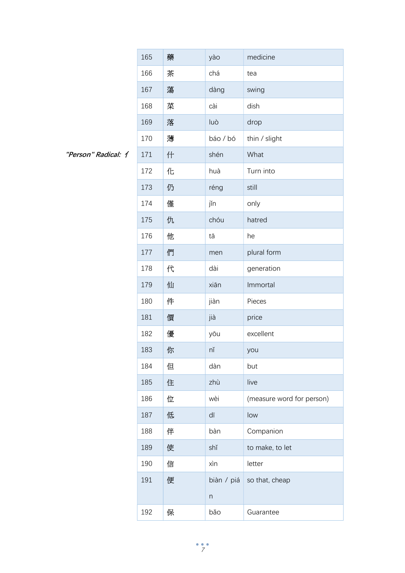|                     | 165 | 藥 | yào              | medicine                  |
|---------------------|-----|---|------------------|---------------------------|
|                     | 166 | 茶 | chá              | tea                       |
|                     | 167 | 蕩 | dàng             | swing                     |
|                     | 168 | 菜 | cài              | dish                      |
|                     | 169 | 落 | luò              | drop                      |
|                     | 170 | 薄 | báo / bó         | thin / slight             |
| "Person" Radical: 1 | 171 | 什 | shén             | What                      |
|                     | 172 | 化 | huà              | Turn into                 |
|                     | 173 | 仍 | réng             | still                     |
|                     | 174 | 僅 | jĭn              | only                      |
|                     | 175 | 仇 | chóu             | hatred                    |
|                     | 176 | 他 | tā               | he                        |
|                     | 177 | 們 | men              | plural form               |
|                     | 178 | 代 | dài              | generation                |
|                     | 179 | 仙 | xiān             | Immortal                  |
|                     | 180 | 件 | jiàn             | Pieces                    |
|                     | 181 | 價 | jià              | price                     |
|                     | 182 | 優 | yōu              | excellent                 |
|                     | 183 | 你 | nĭ               | you                       |
|                     | 184 | 但 | dàn              | but                       |
|                     | 185 | 住 | zhù              | live                      |
|                     | 186 | 位 | wèi              | (measure word for person) |
|                     | 187 | 低 | dī               | low                       |
|                     | 188 | 伴 | bàn              | Companion                 |
|                     | 189 | 使 | shǐ              | to make, to let           |
|                     | 190 | 信 | xìn              | letter                    |
|                     | 191 | 便 | biàn / piá       | so that, cheap            |
|                     |     |   | $\boldsymbol{n}$ |                           |
|                     | 192 | 保 | bǎo              | Guarantee                 |

"Person" Radical: イ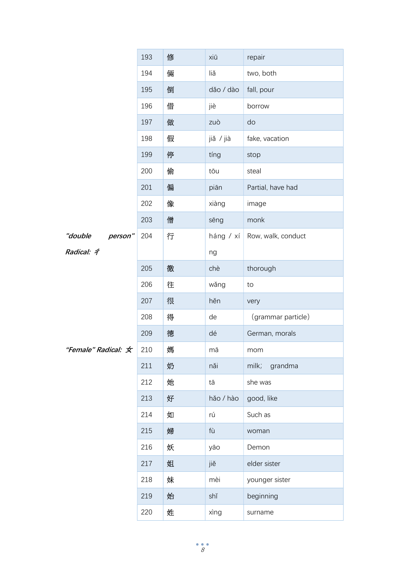|                     | 193 | 修 | xiū       | repair             |
|---------------------|-----|---|-----------|--------------------|
|                     | 194 | 倆 | liǎ       | two, both          |
|                     | 195 | 倒 | dǎo / dào | fall, pour         |
|                     | 196 | 借 | jiè       | borrow             |
|                     | 197 | 做 | zuò       | do                 |
|                     | 198 | 假 | jiǎ / jià | fake, vacation     |
|                     | 199 | 停 | tíng      | stop               |
|                     | 200 | 偷 | tōu       | steal              |
|                     | 201 | 偏 | piān      | Partial, have had  |
|                     | 202 | 像 | xiàng     | image              |
|                     | 203 | 僧 | sēng      | monk               |
| "double<br>person"  | 204 | 行 | háng / xí | Row, walk, conduct |
| Radical: 4          |     |   | ng        |                    |
|                     | 205 | 徹 | chè       | thorough           |
|                     | 206 | 往 | wǎng      | to                 |
|                     | 207 | 很 | hěn       | very               |
|                     | 208 | 得 | de        | (grammar particle) |
|                     | 209 | 德 | dé        | German, morals     |
| "Female" Radical: 女 | 210 | 媽 | mā        | mom                |
|                     | 211 | 奶 | nǎi       | milk;<br>grandma   |
|                     | 212 | 她 | tā        | she was            |
|                     | 213 | 好 | hǎo / hào | good, like         |
|                     | 214 | 如 | rú        | Such as            |
|                     | 215 | 婦 | fù        | woman              |
|                     | 216 | 妖 | yāo       | Demon              |
|                     | 217 | 姐 | jiě       | elder sister       |
|                     | 218 | 妹 | mèi       | younger sister     |
|                     | 219 | 始 | shǐ       | beginning          |
|                     | 220 | 姓 | xìng      | surname            |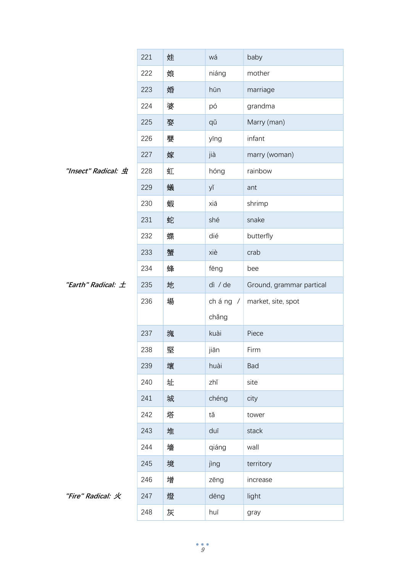|                        | 221 | 娃 | wá      | baby                     |
|------------------------|-----|---|---------|--------------------------|
|                        | 222 | 娘 | niáng   | mother                   |
|                        | 223 | 婚 | hūn     | marriage                 |
|                        | 224 | 婆 | pó      | grandma                  |
|                        | 225 | 娶 | qǔ      | Marry (man)              |
|                        | 226 | 嬰 | yīng    | infant                   |
|                        | 227 | 嫁 | jià     | marry (woman)            |
| "Insect" Radical: 虫    | 228 | 虹 | hóng    | rainbow                  |
|                        | 229 | 蟻 | yĭ      | ant                      |
|                        | 230 | 蝦 | xiā     | shrimp                   |
|                        | 231 | 蛇 | shé     | snake                    |
|                        | 232 | 蝶 | dié     | butterfly                |
|                        | 233 | 蟹 | xiè     | crab                     |
|                        | 234 | 蜂 | fēng    | bee                      |
| "Earth" Radical: $\pm$ | 235 | 地 | dì / de | Ground, grammar partical |
|                        | 236 | 場 | cháng / | market, site, spot       |
|                        |     |   | chǎng   |                          |
|                        | 237 | 塊 | kuài    | Piece                    |
|                        | 238 | 堅 | jiān    | Firm                     |
|                        | 239 | 壞 | huài    | Bad                      |
|                        | 240 | 址 | zhǐ     | site                     |
|                        | 241 | 城 | chéng   | city                     |
|                        | 242 | 塔 | tǎ      | tower                    |
|                        | 243 | 堆 | duī     | stack                    |
|                        | 244 | 墻 | qiáng   | wall                     |
|                        | 245 | 境 | jìng    | territory                |
|                        | 246 | 增 | zēng    | increase                 |
| "Fire" Radical: 火      | 247 | 燈 | dēng    | light                    |
|                        | 248 | 灰 | huī     | gray                     |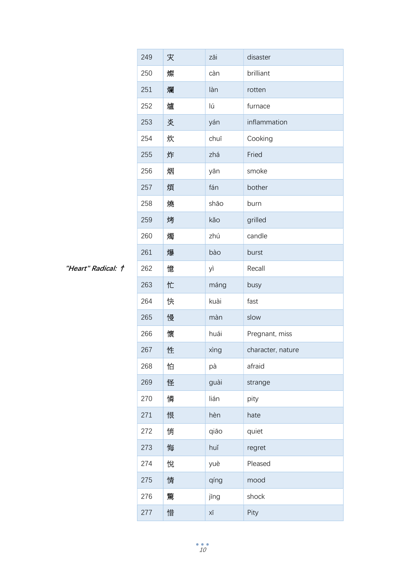|                    | 249 | 灾 | zāi  | disaster          |
|--------------------|-----|---|------|-------------------|
|                    | 250 | 燦 | càn  | brilliant         |
|                    | 251 | 爛 | làn  | rotten            |
|                    | 252 | 爐 | lú   | furnace           |
|                    | 253 | 炎 | yán  | inflammation      |
|                    | 254 | 炊 | chuī | Cooking           |
|                    | 255 | 炸 | zhá  | Fried             |
|                    | 256 | 烟 | yān  | smoke             |
|                    | 257 | 煩 | fán  | bother            |
|                    | 258 | 燒 | shāo | burn              |
|                    | 259 | 烤 | kǎo  | grilled           |
|                    | 260 | 燭 | zhú  | candle            |
|                    | 261 | 爆 | bào  | burst             |
| "Heart" Radical: † | 262 | 憶 | yì   | Recall            |
|                    | 263 | 忙 | máng | busy              |
|                    | 264 | 快 | kuài | fast              |
|                    | 265 | 慢 | màn  | slow              |
|                    | 266 | 懷 | huái | Pregnant, miss    |
|                    | 267 | 性 | xìng | character, nature |
|                    | 268 | 怕 | pà   | afraid            |
|                    | 269 | 怪 | guài | strange           |
|                    | 270 | 憐 | lián | pity              |
|                    | 271 | 恨 | hèn  | hate              |
|                    | 272 | 悄 | qiāo | quiet             |
|                    | 273 | 悔 | huǐ  | regret            |
|                    | 274 | 悅 | yuè  | Pleased           |
|                    | 275 | 情 | qíng | mood              |
|                    | 276 | 驚 | jīng | shock             |
|                    | 277 | 惜 | ΧĪ   | Pity              |

"Heart" Radical: †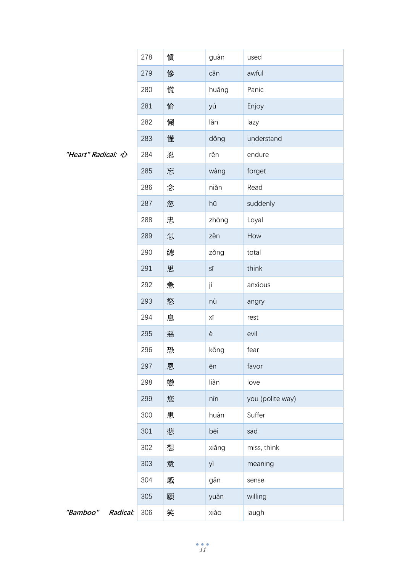|                      | 278 | 慣 | guàn                         | used             |
|----------------------|-----|---|------------------------------|------------------|
|                      | 279 | 慘 | căn                          | awful            |
|                      | 280 | 慌 | huāng                        | Panic            |
|                      | 281 | 愉 | yú                           | Enjoy            |
|                      | 282 | 懶 | lăn                          | lazy             |
|                      | 283 | 懂 | dǒng                         | understand       |
| "Heart" Radical: 心   | 284 | 忍 | rěn                          | endure           |
|                      | 285 | 忘 | wàng                         | forget           |
|                      | 286 | 念 | niàn                         | Read             |
|                      | 287 | 忽 | hū                           | suddenly         |
|                      | 288 | 忠 | zhōng                        | Loyal            |
|                      | 289 | 怎 | zěn                          | How              |
|                      | 290 | 總 | zǒng                         | total            |
|                      | 291 | 思 | $\mathsf{S}\bar{\mathsf{I}}$ | think            |
|                      | 292 | 急 | jí                           | anxious          |
|                      | 293 | 怒 | nù                           | angry            |
|                      | 294 | 息 | ΧĪ                           | rest             |
|                      | 295 | 惡 | è                            | evil             |
|                      | 296 | 恐 | kǒng                         | fear             |
|                      | 297 | 恩 | ēn                           | favor            |
|                      | 298 | 戀 | liàn                         | love             |
|                      | 299 | 您 | nín                          | you (polite way) |
|                      | 300 | 患 | huàn                         | Suffer           |
|                      | 301 | 悲 | bēi                          | sad              |
|                      | 302 | 想 | xiǎng                        | miss, think      |
|                      | 303 | 意 | yì                           | meaning          |
|                      | 304 | 感 | gǎn                          | sense            |
|                      | 305 | 願 | yuàn                         | willing          |
| "Bamboo"<br>Radical: | 306 | 笑 | xiào                         | laugh            |

"Heart" Radical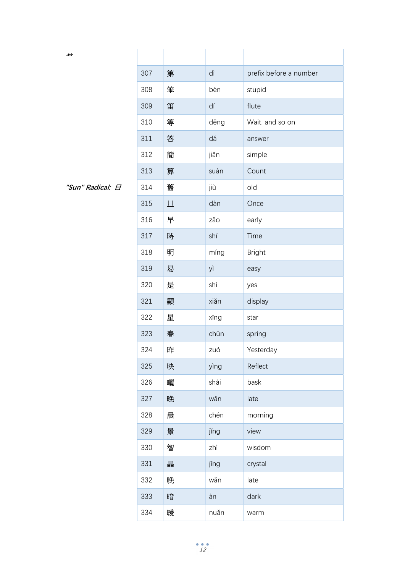| んん               |     |   |      |                        |
|------------------|-----|---|------|------------------------|
|                  | 307 | 第 | dì   | prefix before a number |
|                  | 308 | 笨 | bèn  | stupid                 |
|                  | 309 | 笛 | dí   | flute                  |
|                  | 310 | 等 | děng | Wait, and so on        |
|                  | 311 | 答 | dá   | answer                 |
|                  | 312 | 簡 | jiǎn | simple                 |
|                  | 313 | 算 | suàn | Count                  |
| "Sun" Radical: 日 | 314 | 舊 | jiù  | old                    |
|                  | 315 | 旦 | dàn  | Once                   |
|                  | 316 | 早 | zǎo  | early                  |
|                  | 317 | 時 | shí  | Time                   |
|                  | 318 | 明 | míng | <b>Bright</b>          |
|                  | 319 | 易 | yì   | easy                   |
|                  | 320 | 是 | shì  | yes                    |
|                  | 321 | 顯 | xiǎn | display                |
|                  | 322 | 星 | xīng | star                   |
|                  | 323 | 春 | chūn | spring                 |
|                  | 324 | 昨 | zuó  | Yesterday              |
|                  | 325 | 映 | yìng | Reflect                |
|                  | 326 | 囇 | shài | bask                   |
|                  | 327 | 晚 | wǎn  | late                   |
|                  | 328 | 晨 | chén | morning                |
|                  | 329 | 景 | jǐng | view                   |
|                  | 330 | 智 | zhì  | wisdom                 |
|                  | 331 | 晶 | jīng | crystal                |
|                  | 332 | 晚 | wǎn  | late                   |
|                  | 333 | 暗 | àn   | dark                   |
|                  | 334 | 暖 | nuǎn | warm                   |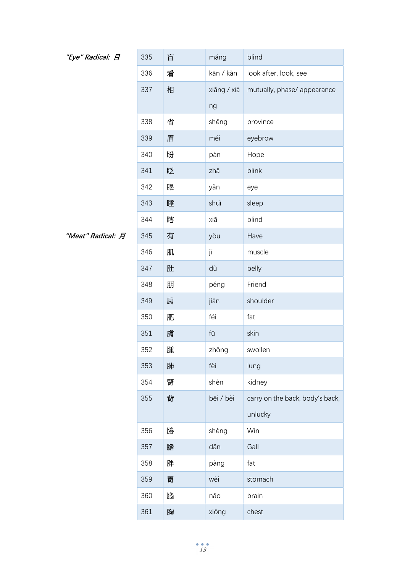## "Eye" Radical: 日

| "Eye" Radical: 日  | 335 | 盲 | máng        | blind                           |
|-------------------|-----|---|-------------|---------------------------------|
|                   | 336 | 看 | kān / kàn   | look after, look, see           |
|                   | 337 | 相 | xiāng / xià | mutually, phase/ appearance     |
|                   |     |   | ng          |                                 |
|                   | 338 | 省 | shěng       | province                        |
|                   | 339 | 眉 | méi         | eyebrow                         |
|                   | 340 | 盼 | pàn         | Hope                            |
|                   | 341 | 眨 | zhǎ         | blink                           |
|                   | 342 | 眼 | yǎn         | eye                             |
|                   | 343 | 睡 | shuì        | sleep                           |
|                   | 344 | 瞎 | xiā         | blind                           |
| "Meat" Radical: 月 | 345 | 有 | yǒu         | Have                            |
|                   | 346 | 肌 | jī          | muscle                          |
|                   | 347 | 肚 | dù          | belly                           |
|                   | 348 | 朋 | péng        | Friend                          |
|                   | 349 | 肩 | jiān        | shoulder                        |
|                   | 350 | 肥 | féi         | fat                             |
|                   | 351 | 膚 | fū          | skin                            |
|                   | 352 | 腫 | zhǒng       | swollen                         |
|                   | 353 | 肺 | fèi         | lung                            |
|                   | 354 | 腎 | shèn        | kidney                          |
|                   | 355 | 背 | bēi / bèi   | carry on the back, body's back, |
|                   |     |   |             | unlucky                         |
|                   | 356 | 勝 | shèng       | Win                             |
|                   | 357 | 膽 | dǎn         | Gall                            |
|                   | 358 | 胖 | pàng        | fat                             |
|                   | 359 | 胃 | wèi         | stomach                         |
|                   | 360 | 腦 | nǎo         | brain                           |
|                   | 361 | 胸 | xiōng       | chest                           |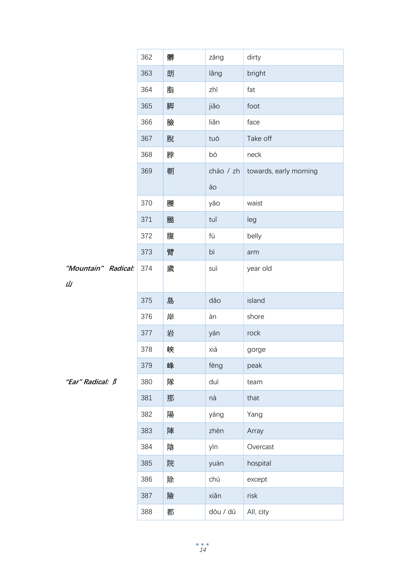|                         | 362 | 髒 | zāng      | dirty                  |
|-------------------------|-----|---|-----------|------------------------|
|                         | 363 | 朗 | lǎng      | bright                 |
|                         | 364 | 脂 | zhī       | fat                    |
|                         | 365 | 脚 | jiǎo      | foot                   |
|                         | 366 | 臉 | liǎn      | face                   |
|                         | 367 | 脫 | tuō       | Take off               |
|                         | 368 | 脖 | bó        | neck                   |
|                         | 369 | 朝 | cháo / zh | towards, early morning |
|                         |     |   | āо        |                        |
|                         | 370 | 腰 | yāo       | waist                  |
|                         | 371 | 腿 | tuǐ       | leg                    |
|                         | 372 | 腹 | fù        | belly                  |
|                         | 373 | 臂 | bì        | arm                    |
| "Mountain" Radical:     | 374 | 歲 | suì       | year old               |
| Щ                       |     |   |           |                        |
|                         | 375 | 島 | dǎo       | island                 |
|                         | 376 | 岸 | àn        | shore                  |
|                         | 377 | 岩 | yán       | rock                   |
|                         | 378 | 峽 | xiá       | gorge                  |
|                         | 379 | 峰 | fēng      | peak                   |
| "Ear" Radical: <b>B</b> | 380 | 隊 | duì       | team                   |
|                         | 381 | 那 | nà        | that                   |
|                         | 382 | 陽 | yáng      | Yang                   |
|                         | 383 | 陣 | zhèn      | Array                  |
|                         | 384 | 陰 | yīn       | Overcast               |
|                         | 385 | 院 | yuàn      | hospital               |
|                         | 386 | 除 | chú       | except                 |
|                         | 387 | 險 | xiǎn      | risk                   |
|                         | 388 | 都 | dōu / dū  | All, city              |

山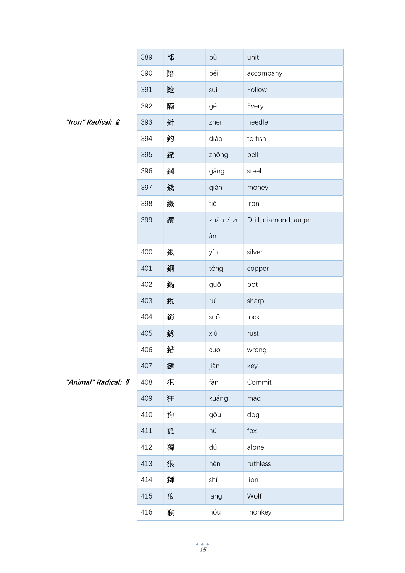|                                    | 389 | 部 | bù        | unit                  |
|------------------------------------|-----|---|-----------|-----------------------|
|                                    | 390 | 陪 | péi       | accompany             |
|                                    | 391 | 隨 | suí       | Follow                |
|                                    | 392 | 隔 | gé        | Every                 |
| "Iron" Radical: $\hat{\mathbf{z}}$ | 393 | 針 | zhēn      | needle                |
|                                    | 394 | 釣 | diào      | to fish               |
|                                    | 395 | 鐘 | zhōng     | bell                  |
|                                    | 396 | 鋼 | gāng      | steel                 |
|                                    | 397 | 錢 | qián      | money                 |
|                                    | 398 | 鐵 | tiě       | iron                  |
|                                    | 399 | 鑽 | zuān / zu | Drill, diamond, auger |
|                                    |     |   | àn        |                       |
|                                    | 400 | 銀 | yín       | silver                |
|                                    | 401 | 銅 | tóng      | copper                |
|                                    | 402 | 鍋 | guō       | pot                   |
|                                    | 403 | 銳 | ruì       | sharp                 |
|                                    | 404 | 鎖 | suǒ       | lock                  |
|                                    | 405 | 銹 | xiù       | rust                  |
|                                    | 406 | 錯 | cuò       | wrong                 |
|                                    | 407 | 鍵 | jiàn      | key                   |
| "Animal" Radical: 3                | 408 | 犯 | fàn       | Commit                |
|                                    | 409 | 狂 | kuáng     | mad                   |
|                                    | 410 | 狗 | gǒu       | dog                   |
|                                    | 411 | 狐 | hú        | fox                   |
|                                    | 412 | 獨 | dú        | alone                 |
|                                    | 413 | 狠 | hěn       | ruthless              |
|                                    | 414 | 獅 | shī       | lion                  |
|                                    | 415 | 狼 | láng      | Wolf                  |
|                                    | 416 | 猴 | hóu       | monkey                |

"Iron" Radical:  $\hat{\pmb{z}}$